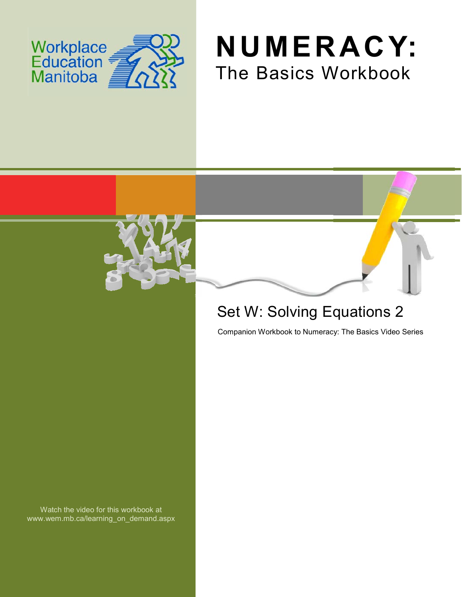





# Set W: Solving Equations 2

Companion Workbook to Numeracy: The Basics Video Series

Watch the video for this workbook at www.wem.mb.ca/learning\_on\_demand.aspx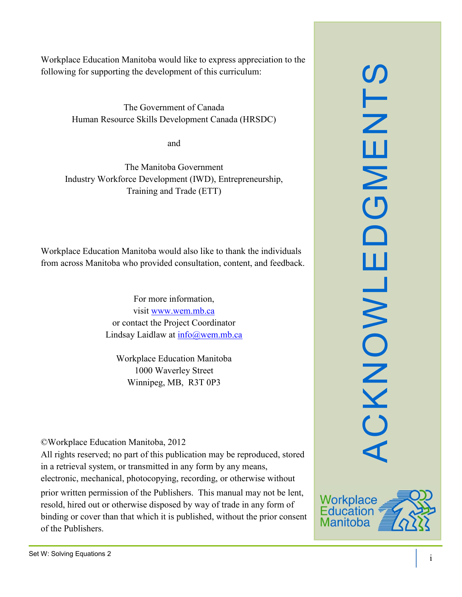Workplace Education Manitoba would like to express appreciation to the following for supporting the development of this curriculum:

> The Government of Canada Human Resource Skills Development Canada (HRSDC)

> > and

The Manitoba Government Industry Workforce Development (IWD), Entrepreneurship, Training and Trade (ETT)

Workplace Education Manitoba would also like to thank the individuals from across Manitoba who provided consultation, content, and feedback.

> For more information, visit [www.wem.mb.ca](http://www.wem.mb.ca/) or contact the Project Coordinator Lindsay Laidlaw at [info@wem.mb.ca](mailto:info@wem.mb.ca)

Workplace Education Manitoba 1000 Waverley Street Winnipeg, MB, R3T 0P3

©Workplace Education Manitoba, 2012

All rights reserved; no part of this publication may be reproduced, stored in a retrieval system, or transmitted in any form by any means, electronic, mechanical, photocopying, recording, or otherwise without

prior written permission of the Publishers. This manual may not be lent, resold, hired out or otherwise disposed by way of trade in any form of binding or cover than that which it is published, without the prior consent of the Publishers.



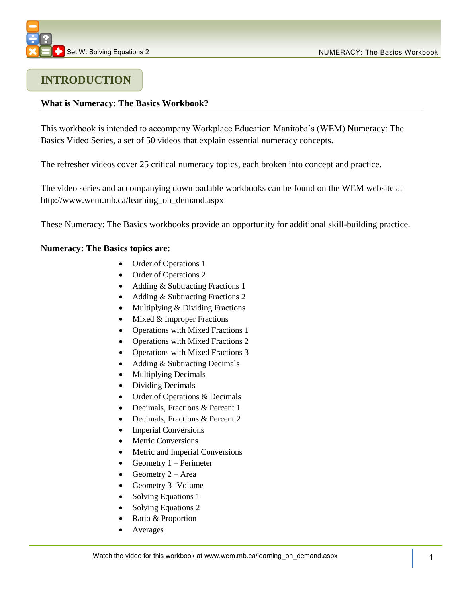### **INTRODUCTION**

#### **What is Numeracy: The Basics Workbook?**

This workbook is intended to accompany Workplace Education Manitoba's (WEM) Numeracy: The Basics Video Series, a set of 50 videos that explain essential numeracy concepts.

The refresher videos cover 25 critical numeracy topics, each broken into concept and practice.

The video series and accompanying downloadable workbooks can be found on the WEM website at [http://www.wem.mb.ca/learning\\_on\\_demand.aspx](http://www.wem.mb.ca/learning_on_demand.aspx)

These Numeracy: The Basics workbooks provide an opportunity for additional skill-building practice.

#### **Numeracy: The Basics topics are:**

- Order of Operations 1
- Order of Operations 2
- Adding & Subtracting Fractions 1
- Adding & Subtracting Fractions 2
- Multiplying & Dividing Fractions
- $\bullet$  Mixed & Improper Fractions
- Operations with Mixed Fractions 1
- Operations with Mixed Fractions 2
- Operations with Mixed Fractions 3
- Adding & Subtracting Decimals
- Multiplying Decimals
- Dividing Decimals
- Order of Operations & Decimals
- Decimals, Fractions & Percent 1
- Decimals, Fractions & Percent 2
- Imperial Conversions
- Metric Conversions
- Metric and Imperial Conversions
- Geometry  $1 -$  Perimeter
- Geometry  $2 Area$
- Geometry 3- Volume
- Solving Equations 1
- Solving Equations 2
- Ratio & Proportion
- Averages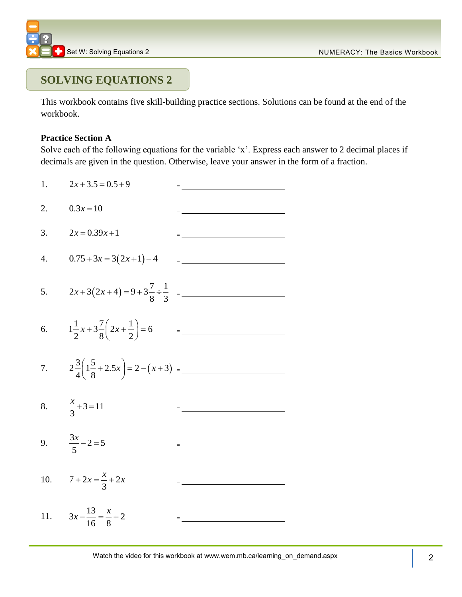

## **SOLVING EQUATIONS 2**

This workbook contains five skill-building practice sections. Solutions can be found at the end of the workbook.

#### **Practice Section A**

Solve each of the following equations for the variable 'x'. Express each answer to 2 decimal places if decimals are given in the question. Otherwise, leave your answer in the form of a fraction.

1.  $2x + 3.5 = 0.5 + 9$   $=$ 2.  $0.3x = 10$   $=$ 3.  $2x = 0.39x + 1$ 4.  $0.75 + 3x = 3(2x + 1) - 4$   $=$ 5.  $2x+3(2x+4)=9+3\frac{7}{8} \div \frac{1}{2}$  $rac{1}{8} \div \frac{1}{3}$  $x+3(2x+4)=9+3\frac{7}{8}+\frac{1}{2}$ 6.  $1\frac{1}{2}x+3\frac{7}{8}\left(2x+\frac{1}{2}\right)=6$  $\frac{x+3}{8}$  $\left(\frac{2x+2}{2}\right)$  $x+3\frac{7}{8}\left(2x+\frac{1}{2}\right)=6$ = 7.  $2\frac{3}{4}\left(1\frac{5}{8}+2.5x\right)=2-(x+3)$  $rac{3}{4}$   $rac{1}{8}$  $\left(1\frac{5}{8} + 2.5x\right) = 2 - (x + 3)$ = 8.  $\frac{\lambda}{2} + 3 = 11$ 3  $\frac{x}{2} + 3 = 11$ 9.  $\frac{3x}{5} - 2 = 5$ 5  $\frac{x}{x} - 2 = 5$ 10.  $7 + 2x = \frac{\lambda}{2} + 2$ 3  $x + 2x = \frac{x}{2} + 2x$ 11.  $3x - \frac{13}{11} = \frac{x}{2} + 2$ 16 8  $x - \frac{13}{16} = \frac{x}{2} + 2$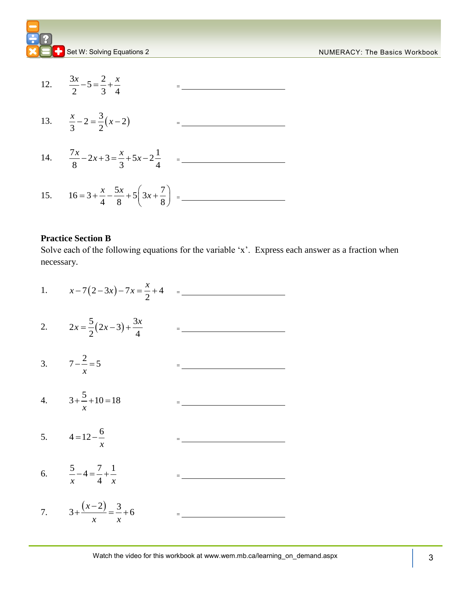



#### **Practice Section B**

Solve each of the following equations for the variable 'x'. Express each answer as a fraction when necessary.

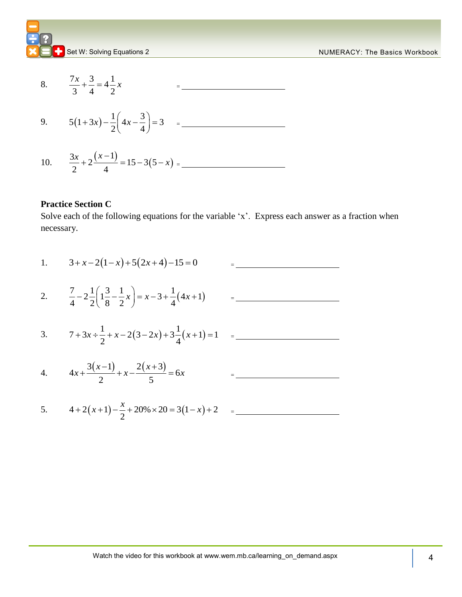



#### **Practice Section C**

5.

Solve each of the following equations for the variable 'x'. Express each answer as a fraction when necessary.

1. 
$$
3+x-2(1-x)+5(2x+4)-15=0
$$
 = \_\_\_\_\_\_  
\n2.  $\frac{7}{4}-2\frac{1}{2}\left(1\frac{3}{8}-\frac{1}{2}x\right) = x-3+\frac{1}{4}(4x+1)$  = \_\_\_\_\_\_  
\n3.  $7+3x \div \frac{1}{2} + x-2(3-2x) + 3\frac{1}{4}(x+1) = 1$  = \_\_\_\_\_\_  
\n4.  $4x+\frac{3(x-1)}{2} + x-\frac{2(x+3)}{5} = 6x$  = \_\_\_\_\_\_  
\n5.  $4+2(x+1)-\frac{x}{2}+20\% \times 20 = 3(1-x)+2$  = \_\_\_\_\_\_  
\n6.  $4+2(x+1)-\frac{x}{2}+20\% \times 20 = 3(1-x)+2$  = \_\_\_\_\_\_  
\n7.  $4+2(x+1)-\frac{x}{2}+20\% \times 20 = 3(1-x)+2$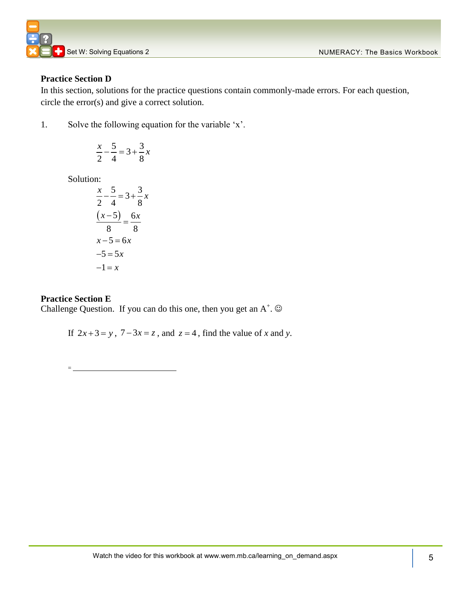

#### **Practice Section D**

In this section, solutions for the practice questions contain commonly-made errors. For each question, circle the error(s) and give a correct solution.

1. Solve the following equation for the variable 'x'.

$$
\frac{x}{2} - \frac{5}{4} = 3 + \frac{3}{8}x
$$

Solution:

$$
\frac{x}{2} - \frac{5}{4} = 3 + \frac{3}{8}x
$$

$$
\frac{(x-5)}{8} = \frac{6x}{8}
$$

$$
x-5 = 6x
$$

$$
-5 = 5x
$$

$$
-1 = x
$$

#### **Practice Section E**

=

Challenge Question. If you can do this one, then you get an  $A^+$ .  $\odot$ 

If  $2x+3=y$ ,  $7-3x=z$ , and  $z=4$ , find the value of *x* and *y*.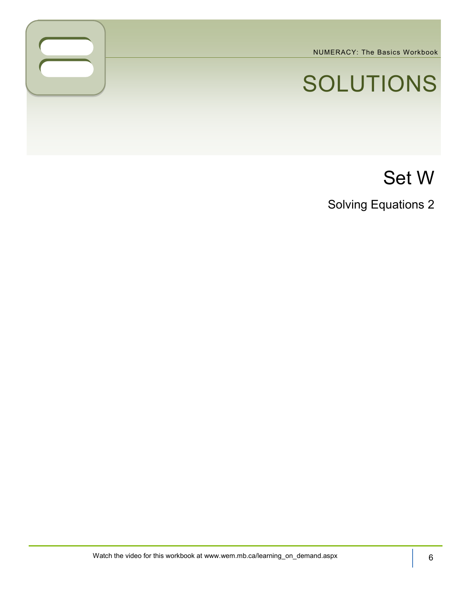NUMERACY: The Basics Workbook

# SOLUTIONS

# Set W

Solving Equations 2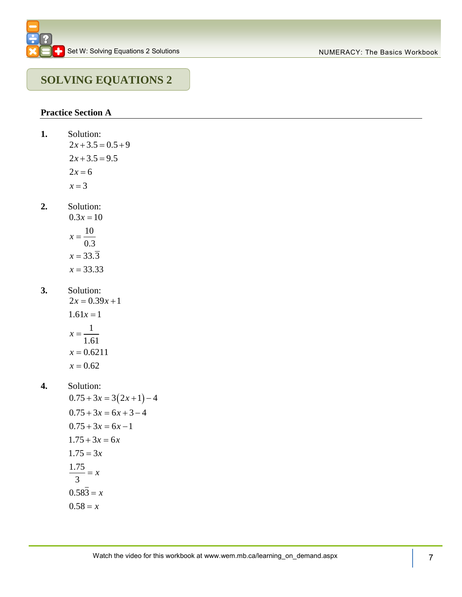## **SOLVING EQUATIONS 2**

#### **Practice Section A**

- **1.** Solution:  $2x + 3.5 = 0.5 + 9$  $2x + 3.5 = 9.5$  $2x = 6$  $x = 3$
- **2.** Solution:
	- $0.3x = 10$ 10 0.3  $x = 33.3$ 33.33 *x x*
- **3.** Solution:

 $2x = 0.39x + 1$  $1.61x = 1$ 1 1.61  $x = 0.6211$  $x = 0.62$ *x*

- **4.** Solution:
	- $0.75 + 3x = 3(2x + 1) 4$  $0.75 + 3x = 6x + 3 - 4$  $0.75 + 3x = 6x - 1$  $1.75 + 3x = 6x$  $1.75 = 3x$ 1.75 3  $0.583 = x$  $0.58 = x$  $= x$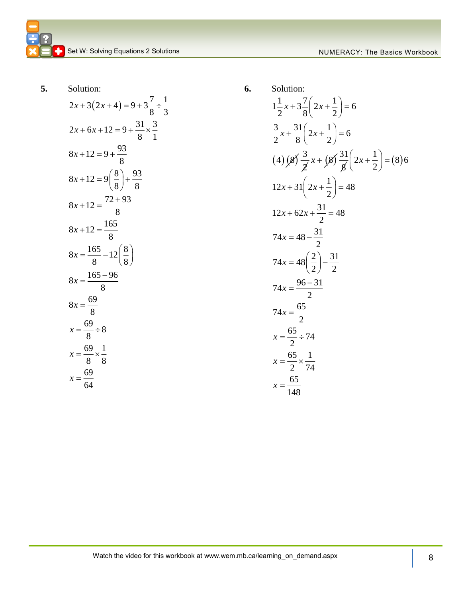Solution.  
\n
$$
2x + 3(2x + 4) = 9 + 3\frac{7}{8} \div \frac{1}{3}
$$
\n
$$
2x + 6x + 12 = 9 + \frac{31}{8} \times \frac{3}{1}
$$
\n
$$
8x + 12 = 9 + \frac{93}{8}
$$
\n
$$
8x + 12 = 9\left(\frac{8}{8}\right) + \frac{93}{8}
$$
\n
$$
8x + 12 = \frac{72 + 93}{8}
$$
\n
$$
8x + 12 = \frac{165}{8}
$$
\n
$$
8x = \frac{165}{8} - 12\left(\frac{8}{8}\right)
$$
\n
$$
8x = \frac{165 - 96}{8}
$$
\n
$$
8x = \frac{69}{8}
$$
\n
$$
x = \frac{69}{8} \div 8
$$
\n
$$
x = \frac{69}{8} \times \frac{1}{8}
$$
\n
$$
x = \frac{69}{64} \times \frac{1}{8}
$$

6. Solution:  
\n
$$
1\frac{1}{2}x + 3\frac{7}{8}\left(2x + \frac{1}{2}\right) = 6
$$
\n
$$
\frac{3}{2}x + \frac{31}{8}\left(2x + \frac{1}{2}\right) = 6
$$
\n
$$
(4) \cancel{8} \frac{3}{2}x + \cancel{8} \frac{31}{8}\left(2x + \frac{1}{2}\right) = (8)6
$$
\n
$$
12x + 31\left(2x + \frac{1}{2}\right) = 48
$$
\n
$$
12x + 62x + \frac{31}{2} = 48
$$
\n
$$
74x = 48 - \frac{31}{2}
$$
\n
$$
74x = 48\left(\frac{2}{2}\right) - \frac{31}{2}
$$
\n
$$
74x = \frac{96 - 31}{2}
$$
\n
$$
74x = \frac{65}{2}
$$
\n
$$
x = \frac{65}{2} \div 74
$$
\n
$$
x = \frac{65}{2} \times \frac{1}{74}
$$
\n
$$
x = \frac{65}{148}
$$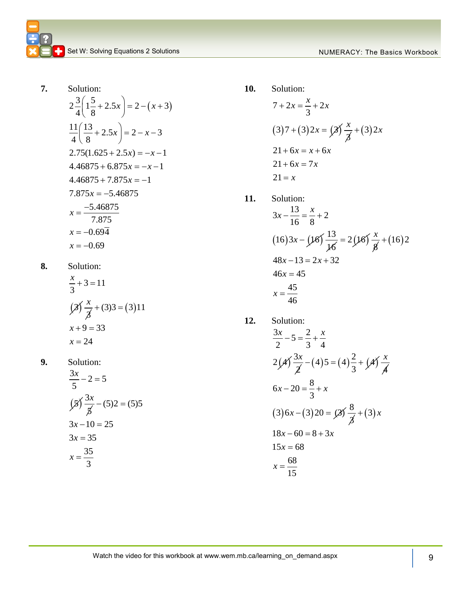**7.** Solution:  $2\frac{3}{4}\left(1\frac{5}{8}+2.5x\right)=2-(x+3)$  $rac{5}{4}$   $\frac{1}{8}$  $\frac{11}{4} \left( \frac{13}{8} + 2.5x \right) = 2 - x - 3$  $rac{1}{4} \left( \frac{1}{8} \right)$  $2.75(1.625 + 2.5x) = -x - 1$  $4.46875 + 6.875x = -x - 1$  $4.46875 + 7.875x = -1$  $7.875x = -5.46875$ 5.46875 7.875  $x = -0.69\overline{4}$  $x = -0.69$  $\left(1\frac{5}{8} + 2.5x\right) = 2 - (x + 3)$  $\left(\frac{13}{8} + 2.5x\right) = 2 - x - 3$  $x = -$ 

**8.** Solution:

$$
\frac{x}{3} + 3 = 11
$$
  

$$
\left(\frac{3}{3}\right) \frac{x}{3} + (3)3 = (3)11
$$
  

$$
x + 9 = 33
$$
  

$$
x = 24
$$

**9.** Solution:

$$
\frac{3x}{5} - 2 = 5
$$
  
\n
$$
\left(\frac{5}{5}\right) \frac{3x}{5} - (5)2 = (5)5
$$
  
\n
$$
3x - 10 = 25
$$
  
\n
$$
3x = 35
$$
  
\n
$$
x = \frac{35}{3}
$$

$$
7 + 2x = \frac{x}{3} + 2x
$$
  
(3)7 + (3)2x =  $(2) \frac{x}{3} + (3) 2x$   
21 + 6x = x + 6x  
21 + 6x = 7x  
21 = x

11. Solution:  
\n
$$
3x - \frac{13}{16} = \frac{x}{8} + 2
$$
\n
$$
(16)3x - (\cancel{16})\frac{13}{\cancel{16}} = 2(\cancel{16})\frac{x}{\cancel{8}} + (16)2
$$
\n
$$
48x - 13 = 2x + 32
$$
\n
$$
46x = 45
$$
\n
$$
x = \frac{45}{46}
$$

12. Solution:  
\n
$$
\frac{3x}{2} - 5 = \frac{2}{3} + \frac{x}{4}
$$
\n
$$
2(\cancel{4}) \frac{3x}{\cancel{2}} - (4)5 = (4)\frac{2}{3} + (\cancel{4}) \frac{x}{\cancel{4}}
$$
\n
$$
6x - 20 = \frac{8}{3} + x
$$
\n
$$
(3) 6x - (3) 20 = \cancel{3} \frac{8}{\cancel{3}} + (3) x
$$
\n
$$
18x - 60 = 8 + 3x
$$
\n
$$
15x = 68
$$
\n
$$
x = \frac{68}{15}
$$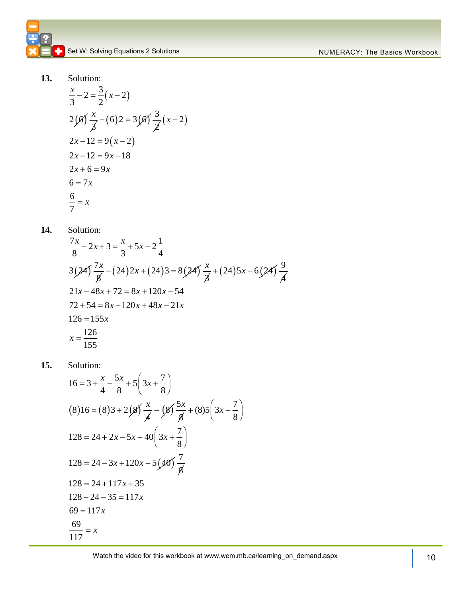$$
\frac{x}{3} - 2 = \frac{3}{2}(x - 2)
$$
  
2(*6*)  $\frac{x}{3}$  - (6) 2 = 3(*6*)  $\frac{3}{2}(x - 2)$   
2x - 12 = 9(x - 2)  
2x - 12 = 9x - 18  
2x + 6 = 9x  
6 = 7x  
6 = 7x  
 $\frac{6}{7} = x$ 

**14.** Solution:

Solution:  
\n
$$
\frac{7x}{8} - 2x + 3 = \frac{x}{3} + 5x - 2\frac{1}{4}
$$
\n
$$
3(24)\frac{7x}{8} - (24)2x + (24)3 = 8(24)\frac{x}{8} + (24)5x - 6(24)\frac{9}{8}
$$
\n
$$
21x - 48x + 72 = 8x + 120x - 54
$$
\n
$$
72 + 54 = 8x + 120x + 48x - 21x
$$
\n
$$
126 = 155x
$$
\n
$$
x = \frac{126}{155}
$$

Solution:  
\n
$$
16 = 3 + \frac{x}{4} - \frac{5x}{8} + 5\left(3x + \frac{7}{8}\right)
$$
\n
$$
(8) 16 = (8)3 + 2\left(\frac{8}{4}\right)\frac{x}{4} - \left(\frac{8}{4}\right)\frac{5x}{8} + (8)5\left(3x + \frac{7}{8}\right)
$$
\n
$$
128 = 24 + 2x - 5x + 40\left(3x + \frac{7}{8}\right)
$$
\n
$$
128 = 24 - 3x + 120x + 5\left(\frac{40}{4}\right)\frac{7}{8}
$$
\n
$$
128 = 24 + 117x + 35
$$
\n
$$
128 - 24 - 35 = 117x
$$
\n
$$
69 = 117x
$$
\n
$$
\frac{69}{117} = x
$$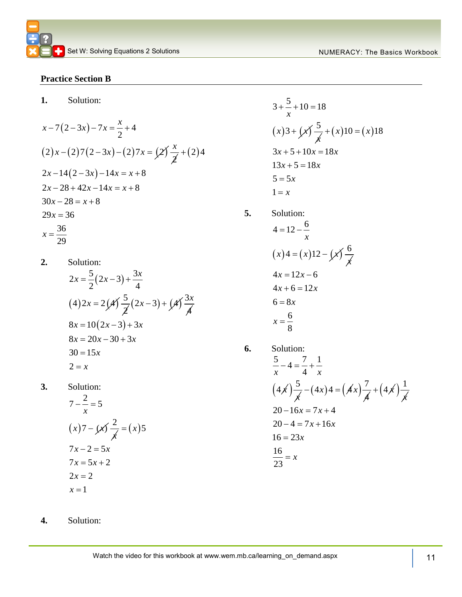#### **Practice Section B**

**1.** Solution:

$$
x-7(2-3x)-7x = \frac{x}{2}+4
$$
  
(2)  $x - (2)7(2-3x) - (2)7x = (2) \frac{x}{2} + (2)4$   
 $2x-14(2-3x)-14x = x+8$   
 $2x-28+42x-14x = x+8$   
 $30x-28 = x+8$   
 $29x = 36$   
 $x = \frac{36}{29}$ 

**2.** Solution: Solution:<br>2x =  $\frac{5}{2}(2x-3)+\frac{3}{2}$  $(4) 2x = 2(x) \frac{5}{x}$  $x = \frac{5}{2}(2x-3) + \frac{3x}{4}$  $\frac{5}{2}(2x-3) + (4)^{2}$ 4 *x*  $8x = 10(2x-3) + 3x$  $8x = 10(2x - 3) + 3x$ <br> $8x = 20x - 30 + 3x$  $8x = 20x$ <br> $30 = 15x$  $2 = x$ 

**3.** Solution:

$$
7 - \frac{2}{x} = 5
$$
  
\n
$$
(x)7 - (x) \frac{2}{x} = (x)
$$
  
\n
$$
7x - 2 = 5x
$$
  
\n
$$
7x = 5x + 2
$$
  
\n
$$
2x = 2
$$
  
\n
$$
x = 1
$$

5

$$
3 + \frac{5}{x} + 10 = 18
$$
  
(x)3 + (x)  $\frac{5}{x}$  + (x)10 = (x)18  
3x + 5 + 10x = 18x  
13x + 5 = 18x  
5 = 5x  
1 = x

Solution:  
\n
$$
4 = 12 - \frac{6}{x}
$$
\n
$$
(x)4 = (x)12 - (x) \frac{6}{x}
$$
\n
$$
4x = 12x - 6
$$
\n
$$
4x + 6 = 12x
$$
\n
$$
6 = 8x
$$
\n
$$
x = \frac{6}{8}
$$

**5.** Solution:

6. Solution:  
\n
$$
\frac{5}{x} - 4 = \frac{7}{4} + \frac{1}{x}
$$
\n
$$
(4 \cancel{x}) \frac{5}{\cancel{x}} - (4x)4 = (\cancel{4}x) \frac{7}{\cancel{4}} + (4 \cancel{x}) \frac{1}{\cancel{x}}
$$
\n
$$
20 - 16x = 7x + 4
$$
\n
$$
20 - 4 = 7x + 16x
$$
\n
$$
16 = 23x
$$
\n
$$
\frac{16}{23} = x
$$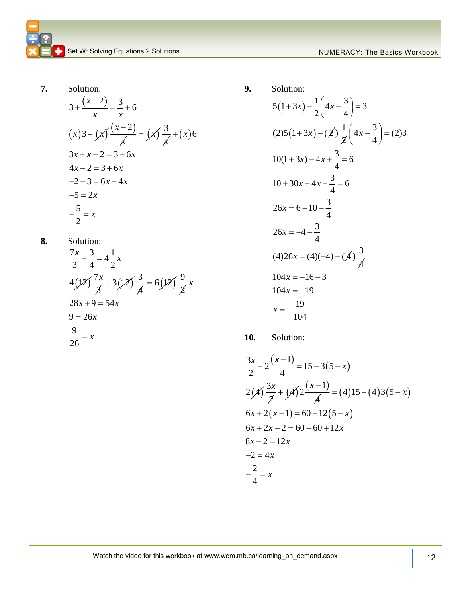$$
3 + \frac{(x-2)}{x} = \frac{3}{x} + 6
$$
  
(x)  $3 + \cancel{(x)} \frac{(x-2)}{\cancel{(x)}} = \cancel{(x)} \frac{3}{\cancel{(x)}} + (x)6$   
 $3x + x - 2 = 3 + 6x$   
 $4x - 2 = 3 + 6x$   
 $-2 - 3 = 6x - 4x$   
 $-5 = 2x$   
 $-\frac{5}{2} = x$ 

8. Solution:  
\n
$$
\frac{7x}{3} + \frac{3}{4} = 4\frac{1}{2}x
$$
\n
$$
4(12) \frac{7x}{3} + 3(12) \frac{3}{4} = 6(12) \frac{9}{2}x
$$
\n
$$
28x + 9 = 54x
$$
\n
$$
9 = 26x
$$
\n
$$
\frac{9}{26} = x
$$

9. Solution:  
\n
$$
5(1+3x) - \frac{1}{2} \left(4x - \frac{3}{4}\right) = 3
$$
\n
$$
(2)5(1+3x) - \left(2\right) \frac{1}{2} \left(4x - \frac{3}{4}\right) = (2)3
$$
\n
$$
10(1+3x) - 4x + \frac{3}{4} = 6
$$
\n
$$
10+30x - 4x + \frac{3}{4} = 6
$$
\n
$$
26x = 6 - 10 - \frac{3}{4}
$$
\n
$$
26x = -4 - \frac{3}{4}
$$
\n
$$
(4)26x = (4)(-4) - \left(4\right) \frac{3}{4}
$$
\n
$$
104x = -16 - 3
$$
\n
$$
104x = -19
$$
\n
$$
x = -\frac{19}{104}
$$

$$
\frac{3x}{2} + 2\frac{(x-1)}{4} = 15 - 3(5 - x)
$$
  
2(*A*)  $\frac{3x}{2} + (A\hat{)}2\frac{(x-1)}{A} = (4)15 - (4)3(5 - x)$   
6x + 2(x-1) = 60 - 12(5 - x)  
6x + 2x - 2 = 60 - 60 + 12x  
8x - 2 = 12x  
-2 = 4x  
 $\frac{2}{4} = x$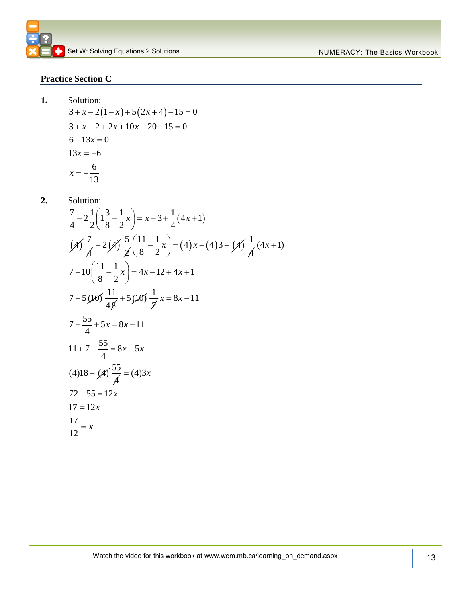#### **Practice Section C**

**1.** 

Solution:  
\n
$$
3 + x - 2(1 - x) + 5(2x + 4) - 15 = 0
$$
\n
$$
3 + x - 2 + 2x + 10x + 20 - 15 = 0
$$
\n
$$
6 + 13x = 0
$$
\n
$$
13x = -6
$$
\n
$$
x = -\frac{6}{13}
$$

Solution:  
\n
$$
\frac{7}{4} - 2\frac{1}{2}\left(1\frac{3}{8} - \frac{1}{2}x\right) = x - 3 + \frac{1}{4}(4x + 1)
$$
\n
$$
\left(\cancel{4}\right)\frac{7}{\cancel{4}} - 2\left(\cancel{4}\right)\frac{5}{\cancel{2}}\left(\frac{11}{8} - \frac{1}{2}x\right) = (4)x - (4)3 + \left(\cancel{4}\right)\frac{1}{\cancel{4}}(4x + 1)
$$
\n
$$
7 - 10\left(\frac{11}{8} - \frac{1}{2}x\right) = 4x - 12 + 4x + 1
$$
\n
$$
7 - 5\left(\cancel{10}\right)\frac{11}{4\cancel{4}} + 5\left(\cancel{10}\right)\frac{1}{\cancel{2}}x = 8x - 11
$$
\n
$$
7 - \frac{55}{4} + 5x = 8x - 11
$$
\n
$$
11 + 7 - \frac{55}{4} = 8x - 5x
$$
\n
$$
(4)18 - \left(\cancel{4}\right)\frac{55}{\cancel{4}} = (4)3x
$$
\n
$$
72 - 55 = 12x
$$
\n
$$
17 = 12x
$$
\n
$$
\frac{17}{12} = x
$$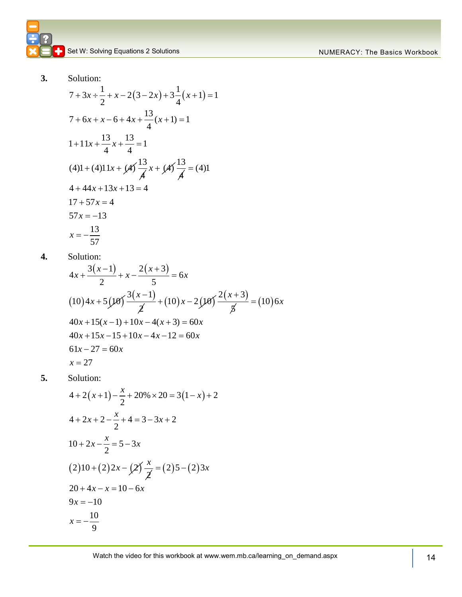Solution:  
\n
$$
7 + 3x \div \frac{1}{2} + x - 2(3 - 2x) + 3\frac{1}{4}(x + 1) = 1
$$
\n
$$
7 + 6x + x - 6 + 4x + \frac{13}{4}(x + 1) = 1
$$
\n
$$
1 + 11x + \frac{13}{4}x + \frac{13}{4} = 1
$$
\n
$$
(4)1 + (4)11x + (4) \frac{13}{4}x + (4) \frac{13}{4} = (4)1
$$
\n
$$
4 + 44x + 13x + 13 = 4
$$
\n
$$
17 + 57x = 4
$$
\n
$$
57x = -13
$$
\n
$$
x = -\frac{13}{57}
$$

**4.** Solution:

Solution:  
\n
$$
4x + \frac{3(x-1)}{2} + x - \frac{2(x+3)}{5} = 6x
$$
\n
$$
(10)4x + 5(10) \frac{3(x-1)}{2} + (10)x - 2(10) \frac{2(x+3)}{5} = (10)6x
$$
\n
$$
40x + 15(x-1) + 10x - 4(x+3) = 60x
$$
\n
$$
40x + 15x - 15 + 10x - 4x - 12 = 60x
$$
\n
$$
61x - 27 = 60x
$$
\n
$$
x = 27
$$

Solution:  
\n
$$
4 + 2(x+1) - \frac{x}{2} + 20\% \times 20 = 3(1-x) + 2
$$
\n
$$
4 + 2x + 2 - \frac{x}{2} + 4 = 3 - 3x + 2
$$
\n
$$
10 + 2x - \frac{x}{2} = 5 - 3x
$$
\n
$$
(2)10 + (2)2x - (2) \frac{x}{2} = (2)5 - (2)3x
$$
\n
$$
20 + 4x - x = 10 - 6x
$$
\n
$$
9x = -10
$$
\n
$$
x = -\frac{10}{9}
$$